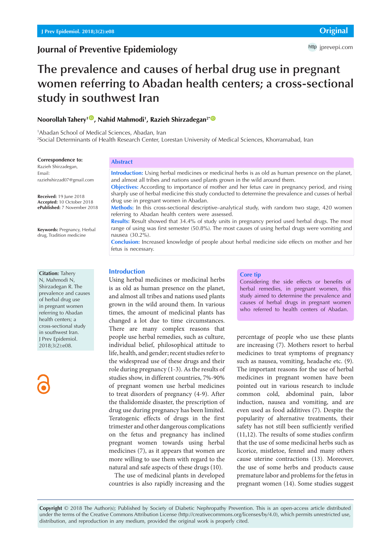# **Journal of Preventive Epidemiology**

# **The prevalence and causes of herbal drug use in pregnant women referring to Abadan health centers; a cross-sectional study in southwest Iran**

# $\blacksquare$ Noorollah Tahery $^{1\textcircled{{\tiny \blacksquare}}},$  Nahid Mahmodi $^{1},$  Razieh Shirzadegan $^{2*{\textcircled{{\tiny \blacksquare}}}}$

1 Abadan School of Medical Sciences, Abadan, Iran 2 Social Determinants of Health Research Center, Lorestan University of Medical Sciences, Khorramabad, Iran

#### **Correspondence to:**

Razieh Shirzadegan, Email: raziehshirzad07@gmail.com

**Received:** 19 June 2018 **Accepted:** 10 October 2018 **ePublished:** 7 November 2018

**Keywords:** Pregnancy, Herbal drug, Tradition medicine

#### **Citation:** Tahery

N, Mahmodi N, Shirzadegan R. The prevalence and causes of herbal drug use in pregnant women referring to Abadan health centers; a cross-sectional study in southwest Iran. J Prev Epidemiol. 2018;3(2):e08.

# **Abstract**

**Introduction:** Using herbal medicines or medicinal herbs is as old as human presence on the planet, and almost all tribes and nations used plants grown in the wild around them. **Objectives:** According to importance of mother and her fetus care in pregnancy period, and rising sharply use of herbal medicine this study conducted to determine the prevalence and cusses of herbal drug use in pregnant women in Abadan. **Methods:** In this cross-sectional descriptive–analytical study, with random two stage, 420 women referring to Abadan health centers were assessed. **Results:** Result showed that 34.4% of study units in pregnancy period used herbal drugs. The most range of using was first semester (50.8%). The most causes of using herbal drugs were vomiting and nausea (30.2%). **Conclusion:** Increased knowledge of people about herbal medicine side effects on mother and her fetus is necessary.

# **Introduction**

Using herbal medicines or medicinal herbs is as old as human presence on the planet, and almost all tribes and nations used plants grown in the wild around them. In various times, the amount of medicinal plants has changed a lot due to time circumstances. There are many complex reasons that people use herbal remedies, such as culture, individual belief, philosophical attitude to life, health, and gender; recent studies refer to the widespread use of these drugs and their role during pregnancy (1-3). As the results of studies show, in different countries, 7%-90% of pregnant women use herbal medicines to treat disorders of pregnancy (4-9). After the thalidomide disaster, the prescription of drug use during pregnancy has been limited. Teratogenic effects of drugs in the first trimester and other dangerous complications on the fetus and pregnancy has inclined pregnant women towards using herbal medicines (7), as it appears that women are more willing to use them with regard to the natural and safe aspects of these drugs (10).

The use of medicinal plants in developed countries is also rapidly increasing and the

#### **Core tip**

Considering the side effects or benefits of herbal remedies, in pregnant women, this study aimed to determine the prevalence and causes of herbal drugs in pregnant women who referred to health centers of Abadan.

percentage of people who use these plants are increasing (7). Mothers resort to herbal medicines to treat symptoms of pregnancy such as nausea, vomiting, headache etc. (9). The important reasons for the use of herbal medicines in pregnant women have been pointed out in various research to include common cold, abdominal pain, labor induction, nausea and vomiting, and are even used as food additives (7). Despite the popularity of alternative treatments, their safety has not still been sufficiently verified (11,12). The results of some studies confirm that the use of some medicinal herbs such as licorice, mistletoe, fennel and many others cause uterine contractions (13). Moreover, the use of some herbs and products cause premature labor and problems for the fetus in pregnant women (14). Some studies suggest

**Copyright** © 2018 The Author(s); Published by Society of Diabetic Nephropathy Prevention. This is an open-access article distributed under the terms of the Creative Commons Attribution License (http://creativecommons.org/licenses/by/4.0), which permits unrestricted use, distribution, and reproduction in any medium, provided the original work is properly cited.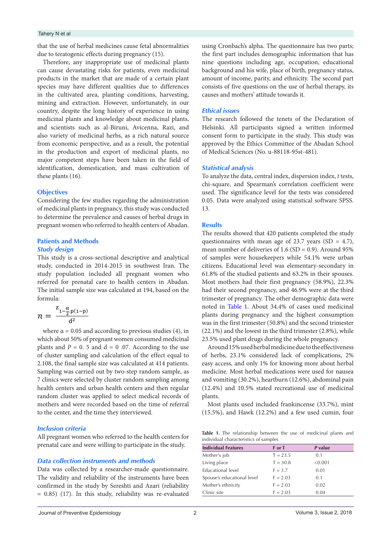### Tahery N et al

that the use of herbal medicines cause fetal abnormalities due to teratogenic effects during pregnancy (15).

Therefore, any inappropriate use of medicinal plants can cause devastating risks for patients, even medicinal products in the market that are made of a certain plant species may have different qualities due to differences in the cultivated area, planting conditions, harvesting, mining and extraction. However, unfortunately, in our country, despite the long history of experience in using medicinal plants and knowledge about medicinal plants, and scientists such as al-Biruni, Avicenna, Razi, and also variety of medicinal herbs, as a rich natural source from economic perspective, and as a result, the potential in the production and export of medicinal plants, no major competent steps have been taken in the field of identification, domestication, and mass cultivation of these plants (16).

## **Objectives**

Considering the few studies regarding the administration of medicinal plants in pregnancy, this study was conducted to determine the prevalence and causes of herbal drugs in pregnant women who referred to health centers of Abadan.

# **Patients and Methods**

# *Study design*

This study is a cross-sectional descriptive and analytical study, conducted in 2014-2015 in southwest Iran. The study population included all pregnant women who referred for prenatal care to health centers in Abadan. referred for prenatal care to health centers in Abadan.<br>The initial sample size was calculated at 194, based on the formula:

$$
n=\frac{\frac{z_{1-\frac{\alpha}{2},p(1-p)}}{d^2}}{1}
$$

plants and *P* = 0. 5 and d = 0 .07. According to the use Around 15% used herbal medicine due to the effectiveness 7 clinics were selected by cluster random sampling among and vomiting (30.2%), heartburn (12.6%), abdominal pain mothers and were recorded based on the time of referral Most plants used included frankincense (33.7%), mint<br>to the center and the time they interviewed<br>(15.5%), and Hawk (12.2%) and a few used cumin four where  $\alpha = 0.05$  and according to previous studies (4), in which about 50% of pregnant women consumed medicinal of cluster sampling and calculation of the effect equal to 2.108, the final sample size was calculated at 414 patients. Sampling was carried out by two-step random sample, as health centers and urban health centers and then regular random cluster was applied to select medical records of mothers and were recorded based on the time of referral to the center, and the time they interviewed.

# *Inclusion criteria*

prenatal care and were willing to participate in the study.

## *Data collection instruments and methods*

 $= 0.85$ ) (17). In this study, reliability was re-evaluated. Clinic site The validity and reliability of the instruments have been confirmed in the study by Sereshti and Azari (reliability

using Cronbach's alpha. The questionnaire has two parts; the first part includes demographic information that has nine questions including age, occupation, educational background and his wife, place of birth, pregnancy status, amount of income, parity, and ethnicity. The second part consists of five questions on the use of herbal therapy, its causes and mothers' attitude towards it.

# *Ethical issues*

The research followed the tenets of the Declaration of Helsinki. All participants signed a written informed consent form to participate in the study. This study was approved by the Ethics Committee of the Abadan School of Medical Sciences (No. u-88118-95st-481).

# *Statistical analysis*

To analyze the data, central index, dispersion index, *t* tests, chi-square, and Spearman's correlation coefficient were used. The significance level for the tests was considered 0.05. Data were analyzed using statistical software SPSS. 13.

#### **Results**

 $\frac{d^2}{dt^2}$  plants during pregnancy and the highest consumption was in the first trimester (50.8%) and the second trimester The results showed that 420 patients completed the study questionnaires with mean age of 23.7 years  $(SD = 4.7)$ , mean number of deliveries of  $1.6$  (SD = 0.9). Around 95% of samples were housekeepers while 54.1% were urban citizens. Educational level was elementary-secondary in 61.8% of the studied patients and 63.2% in their spouses. Most mothers had their first pregnancy (58.9%), 22.3% had their second pregnancy, and 46.9% were at the third trimester of pregnancy. The other demographic data were noted in [Table 1.](#page-1-0) About 34.4% of cases used medicinal plants during pregnancy and the highest consumption (22.1%) and the lowest in the third trimester (2.8%), while 23.5% used plant drugs during the whole pregnancy.

> Around 15% used herbal medicine due to the effectiveness of herbs, 23.1% considered lack of complications, 2% easy access, and only 1% for knowing more about herbal medicine. Most herbal medications were used for nausea and vomiting (30.2%), heartburn (12.6%), abdominal pain (12.4%) and 10.5% stated recreational use of medicinal plants.

> <span id="page-1-0"></span>(15.5%), and Hawk (12.2%) and a few used cumin, four

All pregnant women who referred to the health centers for individual characteristics of samples **Table 1.** The relationship between the use of medicinal plants and individual characteristics of samples

| <b>Individual Features</b><br>P value<br>F or T<br>Mother's job<br>$T = 23.5$<br>(0.1)<br>Data collection instruments and methods<br>Living place<br>$T = 30.8$<br>< 0.001<br>Data was collected by a researcher-made questionnaire.<br>Educational level<br>$F = 3.7$<br>0.01<br>The validity and reliability of the instruments have been<br>Spouse's educational level<br>$F = 2.03$<br>0.1<br>Mother's ethnicity<br>confirmed in the study by Sereshti and Azari (reliability<br>$F = 2.03$<br>0.02<br>Clinic site<br>$F = 2.03$<br>0.04<br>$= 0.85$ (17). In this study, reliability was re-evaluated |                                                             |  |  |
|------------------------------------------------------------------------------------------------------------------------------------------------------------------------------------------------------------------------------------------------------------------------------------------------------------------------------------------------------------------------------------------------------------------------------------------------------------------------------------------------------------------------------------------------------------------------------------------------------------|-------------------------------------------------------------|--|--|
|                                                                                                                                                                                                                                                                                                                                                                                                                                                                                                                                                                                                            | prenatal care and were willing to participate in the study. |  |  |
|                                                                                                                                                                                                                                                                                                                                                                                                                                                                                                                                                                                                            |                                                             |  |  |
|                                                                                                                                                                                                                                                                                                                                                                                                                                                                                                                                                                                                            |                                                             |  |  |
|                                                                                                                                                                                                                                                                                                                                                                                                                                                                                                                                                                                                            |                                                             |  |  |
|                                                                                                                                                                                                                                                                                                                                                                                                                                                                                                                                                                                                            |                                                             |  |  |
|                                                                                                                                                                                                                                                                                                                                                                                                                                                                                                                                                                                                            |                                                             |  |  |
|                                                                                                                                                                                                                                                                                                                                                                                                                                                                                                                                                                                                            |                                                             |  |  |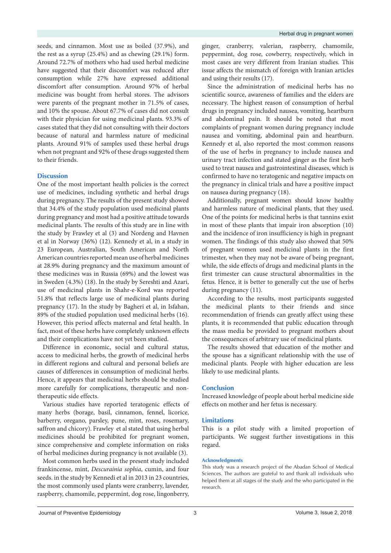seeds, and cinnamon. Most use as boiled (37.9%), and the rest as a syrup (25.4%) and as chewing (29.1%) form. Around 72.7% of mothers who had used herbal medicine have suggested that their discomfort was reduced after consumption while 27% have expressed additional discomfort after consumption. Around 97% of herbal medicine was bought from herbal stores. The advisors were parents of the pregnant mother in 71.5% of cases, and 10% the spouse. About 67.7% of cases did not consult with their physician for using medicinal plants. 93.3% of cases stated that they did not consulting with their doctors because of natural and harmless nature of medicinal plants. Around 91% of samples used these herbal drugs when not pregnant and 92% of these drugs suggested them to their friends.

# **Discussion**

One of the most important health policies is the correct use of medicines, including synthetic and herbal drugs during pregnancy. The results of the present study showed that 34.4% of the study population used medicinal plants during pregnancy and most had a positive attitude towards medicinal plants. The results of this study are in line with the study by Frawley et al (3) and Nordeng and Havnen et al in Norway (36%) (12). Kennedy et al, in a study in 23 European, Australian, South American and North American countries reported mean use of herbal medicines at 28.9% during pregnancy and the maximum amount of these medicines was in Russia (69%) and the lowest was in Sweden (4.3%) (18). In the study by Sereshti and Azari, use of medicinal plants in Shahr-e-Kord was reported 51.8% that reflects large use of medicinal plants during pregnancy (17). In the study by Bagheri et al, in Isfahan, 89% of the studied population used medicinal herbs (16). However, this period affects maternal and fetal health. In fact, most of these herbs have completely unknown effects and their complications have not yet been studied.

Difference in economic, social and cultural status, access to medicinal herbs, the growth of medicinal herbs in different regions and cultural and personal beliefs are causes of differences in consumption of medicinal herbs. Hence, it appears that medicinal herbs should be studied more carefully for complications, therapeutic and nontherapeutic side effects.

Various studies have reported teratogenic effects of many herbs (borage, basil, cinnamon, fennel, licorice, barberry, oregano, parsley, pune, mint, roses, rosemary, saffron and chicory). Frawley et al stated that using herbal medicines should be prohibited for pregnant women, since comprehensive and complete information on risks of herbal medicines during pregnancy is not available (3).

Most common herbs used in the present study included frankincense, mint, *Descurainia sophia*, cumin, and four seeds. in the study by Kennedi et al in 2013 in 23 countries, the most commonly used plants were cranberry, lavender, raspberry, chamomile, peppermint, dog rose, lingonberry, ginger, cranberry, valerian, raspberry, chamomile, peppermint, dog rose, cowberry, respectively, which in most cases are very different from Iranian studies. This issue affects the mismatch of foreign with Iranian articles and using their results (17).

Since the administration of medicinal herbs has no scientific source, awareness of families and the elders are necessary. The highest reason of consumption of herbal drugs in pregnancy included nausea, vomiting, heartburn and abdominal pain. It should be noted that most complaints of pregnant women during pregnancy include nausea and vomiting, abdominal pain and heartburn. Kennedy et al, also reported the most common reasons of the use of herbs in pregnancy to include nausea and urinary tract infection and stated ginger as the first herb used to treat nausea and gastrointestinal diseases, which is confirmed to have no teratogenic and negative impacts on the pregnancy in clinical trials and have a positive impact on nausea during pregnancy (18).

Additionally, pregnant women should know healthy and harmless nature of medicinal plants, that they used. One of the points for medicinal herbs is that tannins exist in most of these plants that impair iron absorption (10) and the incidence of iron insufficiency is high in pregnant women. The findings of this study also showed that 50% of pregnant women used medicinal plants in the first trimester, when they may not be aware of being pregnant, while, the side effects of drugs and medicinal plants in the first trimester can cause structural abnormalities in the fetus. Hence, it is better to generally cut the use of herbs during pregnancy (11).

According to the results, most participants suggested the medicinal plants to their friends and since recommendation of friends can greatly affect using these plants, it is recommended that public education through the mass media be provided to pregnant mothers about the consequences of arbitrary use of medicinal plants.

The results showed that education of the mother and the spouse has a significant relationship with the use of medicinal plants. People with higher education are less likely to use medicinal plants.

# **Conclusion**

Increased knowledge of people about herbal medicine side effects on mother and her fetus is necessary.

# **Limitations**

This is a pilot study with a limited proportion of participants. We suggest further investigations in this regard.

#### **Acknowledgments**

This study was a research project of the Abadan School of Medical Sciences. The authors are grateful to and thank all individuals who helped them at all stages of the study and the who participated in the research.